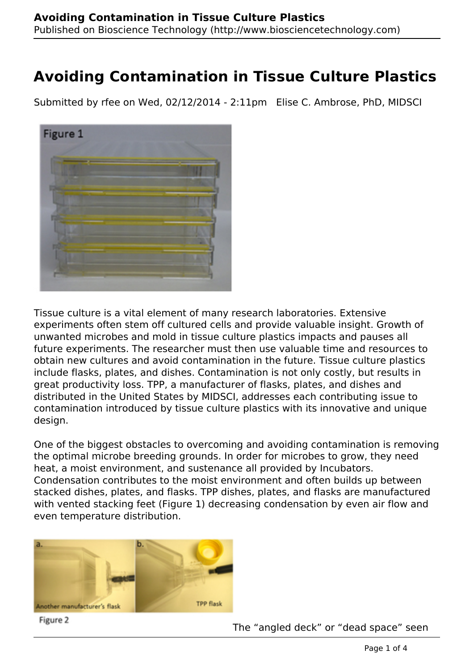Submitted by rfee on Wed, 02/12/2014 - 2:11pm Elise C. Ambrose, PhD, MIDSCI



Tissue culture is a vital element of many research laboratories. Extensive experiments often stem off cultured cells and provide valuable insight. Growth of unwanted microbes and mold in tissue culture plastics impacts and pauses all future experiments. The researcher must then use valuable time and resources to obtain new cultures and avoid contamination in the future. Tissue culture plastics include flasks, plates, and dishes. Contamination is not only costly, but results in great productivity loss. TPP, a manufacturer of flasks, plates, and dishes and distributed in the United States by MIDSCI, addresses each contributing issue to contamination introduced by tissue culture plastics with its innovative and unique design.

One of the biggest obstacles to overcoming and avoiding contamination is removing the optimal microbe breeding grounds. In order for microbes to grow, they need heat, a moist environment, and sustenance all provided by Incubators. Condensation contributes to the moist environment and often builds up between stacked dishes, plates, and flasks. TPP dishes, plates, and flasks are manufactured with vented stacking feet (Figure 1) decreasing condensation by even air flow and even temperature distribution.



Figure 2

The "angled deck" or "dead space" seen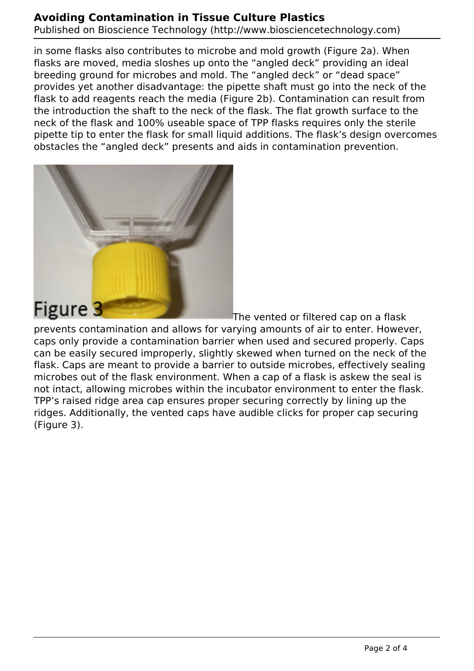Published on Bioscience Technology (http://www.biosciencetechnology.com)

in some flasks also contributes to microbe and mold growth (Figure 2a). When flasks are moved, media sloshes up onto the "angled deck" providing an ideal breeding ground for microbes and mold. The "angled deck" or "dead space" provides yet another disadvantage: the pipette shaft must go into the neck of the flask to add reagents reach the media (Figure 2b). Contamination can result from the introduction the shaft to the neck of the flask. The flat growth surface to the neck of the flask and 100% useable space of TPP flasks requires only the sterile pipette tip to enter the flask for small liquid additions. The flask's design overcomes obstacles the "angled deck" presents and aids in contamination prevention.



The vented or filtered cap on a flask

prevents contamination and allows for varying amounts of air to enter. However, caps only provide a contamination barrier when used and secured properly. Caps can be easily secured improperly, slightly skewed when turned on the neck of the flask. Caps are meant to provide a barrier to outside microbes, effectively sealing microbes out of the flask environment. When a cap of a flask is askew the seal is not intact, allowing microbes within the incubator environment to enter the flask. TPP's raised ridge area cap ensures proper securing correctly by lining up the ridges. Additionally, the vented caps have audible clicks for proper cap securing (Figure 3).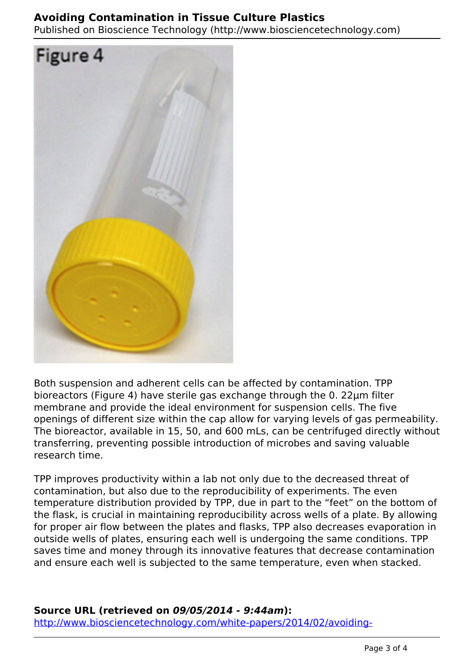Published on Bioscience Technology (http://www.biosciencetechnology.com)



Both suspension and adherent cells can be affected by contamination. TPP bioreactors (Figure 4) have sterile gas exchange through the 0. 22µm filter membrane and provide the ideal environment for suspension cells. The five openings of different size within the cap allow for varying levels of gas permeability. The bioreactor, available in 15, 50, and 600 mLs, can be centrifuged directly without transferring, preventing possible introduction of microbes and saving valuable research time.

TPP improves productivity within a lab not only due to the decreased threat of contamination, but also due to the reproducibility of experiments. The even temperature distribution provided by TPP, due in part to the "feet" on the bottom of the flask, is crucial in maintaining reproducibility across wells of a plate. By allowing for proper air flow between the plates and flasks, TPP also decreases evaporation in outside wells of plates, ensuring each well is undergoing the same conditions. TPP saves time and money through its innovative features that decrease contamination and ensure each well is subjected to the same temperature, even when stacked.

#### **Source URL (retrieved on** *09/05/2014 - 9:44am***):**

[http://www.biosciencetechnology.com/white-papers/2014/02/avoiding-](http://www.biosciencetechnology.com/white-papers/2014/02/avoiding-contamination-tissue-culture-plastics?type=cta)